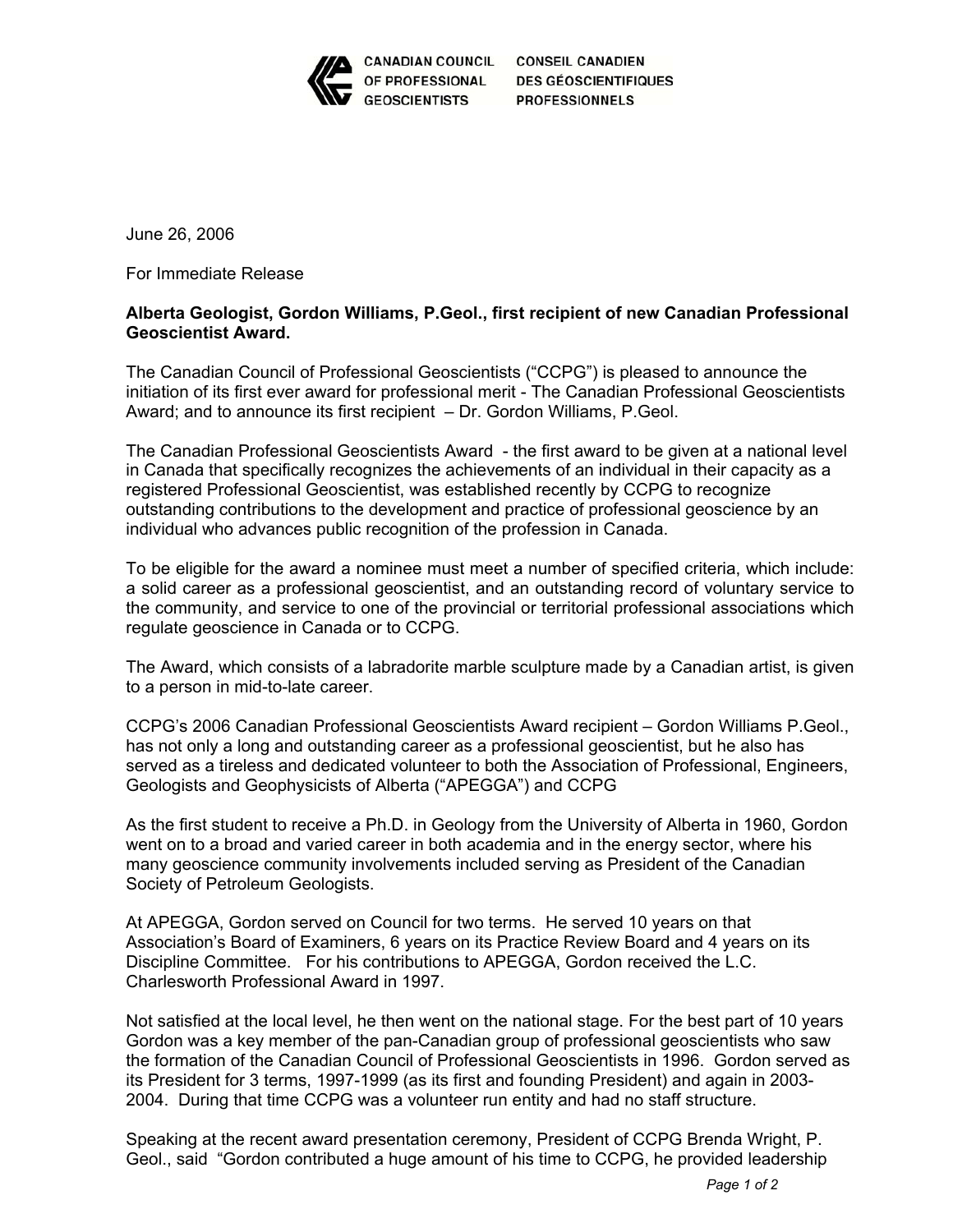

CANADIAN COUNCIL CONSEIL CANADIEN **DES GÉOSCIENTIFIQUES PROFESSIONNELS** 

June 26, 2006

For Immediate Release

## **Alberta Geologist, Gordon Williams, P.Geol., first recipient of new Canadian Professional Geoscientist Award.**

The Canadian Council of Professional Geoscientists ("CCPG") is pleased to announce the initiation of its first ever award for professional merit - The Canadian Professional Geoscientists Award; and to announce its first recipient – Dr. Gordon Williams, P.Geol.

The Canadian Professional Geoscientists Award - the first award to be given at a national level in Canada that specifically recognizes the achievements of an individual in their capacity as a registered Professional Geoscientist, was established recently by CCPG to recognize outstanding contributions to the development and practice of professional geoscience by an individual who advances public recognition of the profession in Canada.

To be eligible for the award a nominee must meet a number of specified criteria, which include: a solid career as a professional geoscientist, and an outstanding record of voluntary service to the community, and service to one of the provincial or territorial professional associations which regulate geoscience in Canada or to CCPG.

The Award, which consists of a labradorite marble sculpture made by a Canadian artist, is given to a person in mid-to-late career.

CCPG's 2006 Canadian Professional Geoscientists Award recipient – Gordon Williams P.Geol., has not only a long and outstanding career as a professional geoscientist, but he also has served as a tireless and dedicated volunteer to both the Association of Professional, Engineers, Geologists and Geophysicists of Alberta ("APEGGA") and CCPG

As the first student to receive a Ph.D. in Geology from the University of Alberta in 1960, Gordon went on to a broad and varied career in both academia and in the energy sector, where his many geoscience community involvements included serving as President of the Canadian Society of Petroleum Geologists.

At APEGGA, Gordon served on Council for two terms. He served 10 years on that Association's Board of Examiners, 6 years on its Practice Review Board and 4 years on its Discipline Committee. For his contributions to APEGGA, Gordon received the L.C. Charlesworth Professional Award in 1997.

Not satisfied at the local level, he then went on the national stage. For the best part of 10 years Gordon was a key member of the pan-Canadian group of professional geoscientists who saw the formation of the Canadian Council of Professional Geoscientists in 1996. Gordon served as its President for 3 terms, 1997-1999 (as its first and founding President) and again in 2003- 2004. During that time CCPG was a volunteer run entity and had no staff structure.

Speaking at the recent award presentation ceremony, President of CCPG Brenda Wright, P. Geol., said "Gordon contributed a huge amount of his time to CCPG, he provided leadership